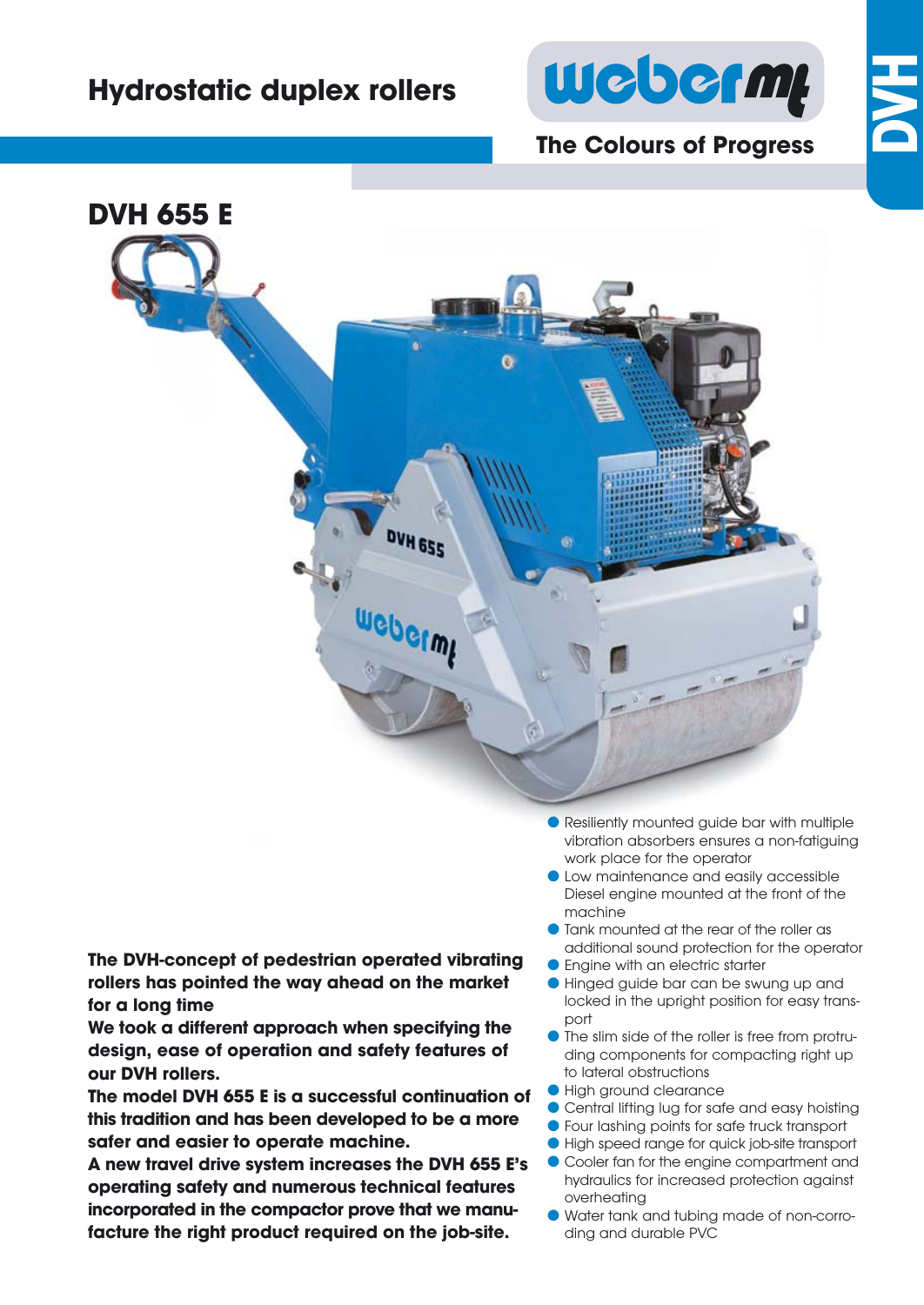## **Hydrostatic duplex rollers**



## **The Colours of Progress**

**DVH**



**The DVH-concept of pedestrian operated vibrating rollers has pointed the way ahead on the market for a long time**

**We took a different approach when specifying the design, ease of operation and safety features of our DVH rollers.**

**The model DVH 655 E is a successful continuation of this tradition and has been developed to be a more safer and easier to operate machine.** 

**A new travel drive system increases the DVH 655 E's operating safety and numerous technical features incorporated in the compactor prove that we manufacture the right product required on the job-site.**

- Resiliently mounted guide bar with multiple vibration absorbers ensures a non-fatiguing work place for the operator
- Low maintenance and easily accessible Diesel engine mounted at the front of the machine
- Tank mounted at the rear of the roller as additional sound protection for the operator
- **Engine with an electric starter**
- Hinged guide bar can be swung up and locked in the upright position for easy transport
- If the slim side of the roller is free from protruding components for compacting right up to lateral obstructions
- High ground clearance
- Central lifting lug for safe and easy hoisting
- Four lashing points for safe truck transport
- High speed range for quick job-site transport
- Cooler fan for the engine compartment and hydraulics for increased protection against overheating
- Water tank and tubing made of non-corro ding and durable PVC